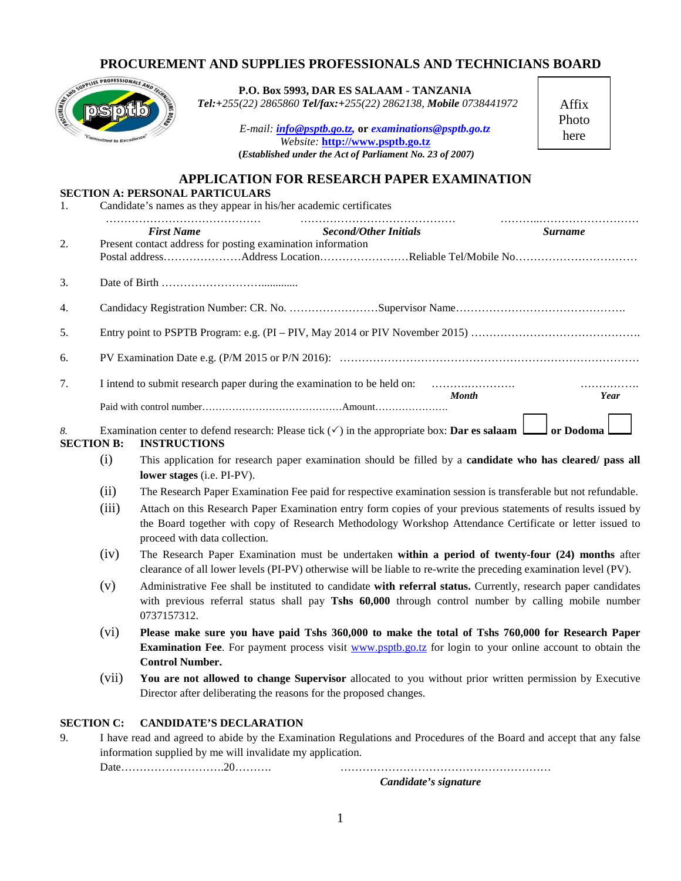## **PROCUREMENT AND SUPPLIES PROFESSIONALS AND TECHNICIANS BOARD**

| AND WITHIN PROFESSIONALS AND<br>1. |                                                                                                                                                                                                                                                                                                                                                                                                                                                                                                      | P.O. Box 5993, DAR ES SALAAM - TANZANIA<br>Tel:+255(22) 2865860 Tel/fax:+255(22) 2862138, Mobile 0738441972<br>E-mail: <i>info@psptb.go.tz</i> , or examinations@psptb.go.tz<br>Website: http://www.psptb.go.tz<br>(Established under the Act of Parliament No. 23 of 2007)<br><b>APPLICATION FOR RESEARCH PAPER EXAMINATION</b><br><b>SECTION A: PERSONAL PARTICULARS</b><br>Candidate's names as they appear in his/her academic certificates | Affix<br>Photo<br>here |  |  |  |
|------------------------------------|------------------------------------------------------------------------------------------------------------------------------------------------------------------------------------------------------------------------------------------------------------------------------------------------------------------------------------------------------------------------------------------------------------------------------------------------------------------------------------------------------|-------------------------------------------------------------------------------------------------------------------------------------------------------------------------------------------------------------------------------------------------------------------------------------------------------------------------------------------------------------------------------------------------------------------------------------------------|------------------------|--|--|--|
| 2.                                 |                                                                                                                                                                                                                                                                                                                                                                                                                                                                                                      | <b>First Name</b><br><b>Second/Other Initials</b><br>Present contact address for posting examination information<br>Postal addressAddress LocationReliable Tel/Mobile No                                                                                                                                                                                                                                                                        | <i>Surname</i>         |  |  |  |
| 3.                                 |                                                                                                                                                                                                                                                                                                                                                                                                                                                                                                      |                                                                                                                                                                                                                                                                                                                                                                                                                                                 |                        |  |  |  |
| 4.                                 |                                                                                                                                                                                                                                                                                                                                                                                                                                                                                                      |                                                                                                                                                                                                                                                                                                                                                                                                                                                 |                        |  |  |  |
| 5.                                 |                                                                                                                                                                                                                                                                                                                                                                                                                                                                                                      |                                                                                                                                                                                                                                                                                                                                                                                                                                                 |                        |  |  |  |
| 6.                                 |                                                                                                                                                                                                                                                                                                                                                                                                                                                                                                      |                                                                                                                                                                                                                                                                                                                                                                                                                                                 |                        |  |  |  |
| 7.                                 | I intend to submit research paper during the examination to be held on:<br>.<br><b>Month</b><br>Year                                                                                                                                                                                                                                                                                                                                                                                                 |                                                                                                                                                                                                                                                                                                                                                                                                                                                 |                        |  |  |  |
| 8.<br><b>SECTION B:</b>            | Examination center to defend research: Please tick $(\checkmark)$ in the appropriate box: <b>Dar es salaam</b><br>or Dodoma<br><b>INSTRUCTIONS</b>                                                                                                                                                                                                                                                                                                                                                   |                                                                                                                                                                                                                                                                                                                                                                                                                                                 |                        |  |  |  |
|                                    | (i)                                                                                                                                                                                                                                                                                                                                                                                                                                                                                                  | This application for research paper examination should be filled by a candidate who has cleared/ pass all<br>lower stages (i.e. PI-PV).                                                                                                                                                                                                                                                                                                         |                        |  |  |  |
|                                    | (ii)                                                                                                                                                                                                                                                                                                                                                                                                                                                                                                 | The Research Paper Examination Fee paid for respective examination session is transferable but not refundable.                                                                                                                                                                                                                                                                                                                                  |                        |  |  |  |
|                                    | Attach on this Research Paper Examination entry form copies of your previous statements of results issued by<br>(iii)<br>the Board together with copy of Research Methodology Workshop Attendance Certificate or letter issued to<br>proceed with data collection.<br>(iv)<br>The Research Paper Examination must be undertaken within a period of twenty-four (24) months after<br>clearance of all lower levels (PI-PV) otherwise will be liable to re-write the preceding examination level (PV). |                                                                                                                                                                                                                                                                                                                                                                                                                                                 |                        |  |  |  |
|                                    |                                                                                                                                                                                                                                                                                                                                                                                                                                                                                                      |                                                                                                                                                                                                                                                                                                                                                                                                                                                 |                        |  |  |  |
|                                    | (v)                                                                                                                                                                                                                                                                                                                                                                                                                                                                                                  | Administrative Fee shall be instituted to candidate with referral status. Currently, research paper candidates<br>with previous referral status shall pay Tshs 60,000 through control number by calling mobile number<br>0737157312.                                                                                                                                                                                                            |                        |  |  |  |

- (vi) **Please make sure you have paid Tshs 360,000 to make the total of Tshs 760,000 for Research Paper Examination Fee**. For payment process visit www.psptb.go.tz for login to your online account to obtain the **Control Number.**
- (vii) **You are not allowed to change Supervisor** allocated to you without prior written permission by Executive Director after deliberating the reasons for the proposed changes.

## **SECTION C: CANDIDATE'S DECLARATION**

9. I have read and agreed to abide by the Examination Regulations and Procedures of the Board and accept that any false information supplied by me will invalidate my application.

Date……………………….20………. …………………………………………………

*Candidate's signature*